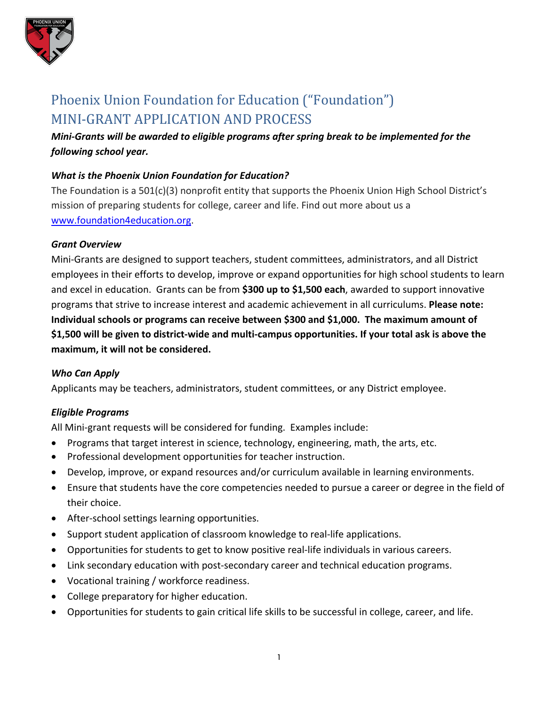

# Phoenix Union Foundation for Education ("Foundation") MINI-GRANT APPLICATION AND PROCESS

*Mini-Grants will be awarded to eligible programs after spring break to be implemented for the following school year.* 

# *What is the Phoenix Union Foundation for Education?*

The Foundation is a 501(c)(3) nonprofit entity that supports the Phoenix Union High School District's mission of preparing students for college, career and life. Find out more about us a www.foundation4education.org.

#### *Grant Overview*

Mini-Grants are designed to support teachers, student committees, administrators, and all District employees in their efforts to develop, improve or expand opportunities for high school students to learn and excel in education. Grants can be from **\$300 up to \$1,500 each**, awarded to support innovative programs that strive to increase interest and academic achievement in all curriculums. **Please note: Individual schools or programs can receive between \$300 and \$1,000. The maximum amount of \$1,500 will be given to district-wide and multi-campus opportunities. If your total ask is above the maximum, it will not be considered.** 

# *Who Can Apply*

Applicants may be teachers, administrators, student committees, or any District employee.

# *Eligible Programs*

All Mini-grant requests will be considered for funding. Examples include:

- Programs that target interest in science, technology, engineering, math, the arts, etc.
- Professional development opportunities for teacher instruction.
- Develop, improve, or expand resources and/or curriculum available in learning environments.
- Ensure that students have the core competencies needed to pursue a career or degree in the field of their choice.
- After-school settings learning opportunities.
- Support student application of classroom knowledge to real-life applications.
- Opportunities for students to get to know positive real-life individuals in various careers.
- Link secondary education with post-secondary career and technical education programs.
- Vocational training / workforce readiness.
- College preparatory for higher education.
- Opportunities for students to gain critical life skills to be successful in college, career, and life.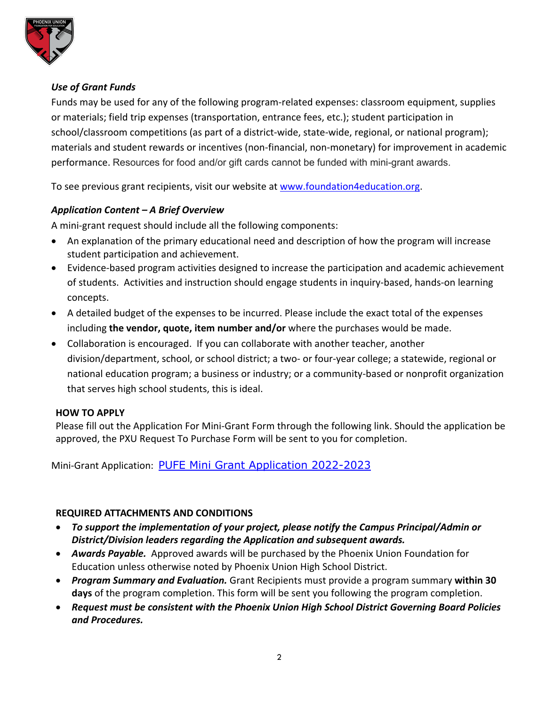

# *Use of Grant Funds*

Funds may be used for any of the following program-related expenses: classroom equipment, supplies or materials; field trip expenses (transportation, entrance fees, etc.); student participation in school/classroom competitions (as part of a district-wide, state-wide, regional, or national program); materials and student rewards or incentives (non-financial, non-monetary) for improvement in academic performance. Resources for food and/or gift cards cannot be funded with mini-grant awards.

To see previous grant recipients, visit our website at www.foundation4education.org.

# *Application Content – A Brief Overview*

A mini-grant request should include all the following components:

- An explanation of the primary educational need and description of how the program will increase student participation and achievement.
- Evidence-based program activities designed to increase the participation and academic achievement of students. Activities and instruction should engage students in inquiry-based, hands-on learning concepts.
- A detailed budget of the expenses to be incurred. Please include the exact total of the expenses including **the vendor, quote, item number and/or** where the purchases would be made.
- Collaboration is encouraged. If you can collaborate with another teacher, another division/department, school, or school district; a two- or four-year college; a statewide, regional or national education program; a business or industry; or a community-based or nonprofit organization that serves high school students, this is ideal.

#### **HOW TO APPLY**

Please fill out the Application For Mini-Grant Form through the following link. Should the application be approved, the PXU Request To Purchase Form will be sent to you for completion.

Mini-Grant Application: PUFE Mini Grant Application 2022-2023

# **REQUIRED ATTACHMENTS AND CONDITIONS**

- *To support the implementation of your project, please notify the Campus Principal/Admin or District/Division leaders regarding the Application and subsequent awards.*
- *Awards Payable.* Approved awards will be purchased by the Phoenix Union Foundation for Education unless otherwise noted by Phoenix Union High School District.
- *Program Summary and Evaluation.* Grant Recipients must provide a program summary **within 30 days** of the program completion. This form will be sent you following the program completion.
- *Request must be consistent with the Phoenix Union High School District Governing Board Policies and Procedures.*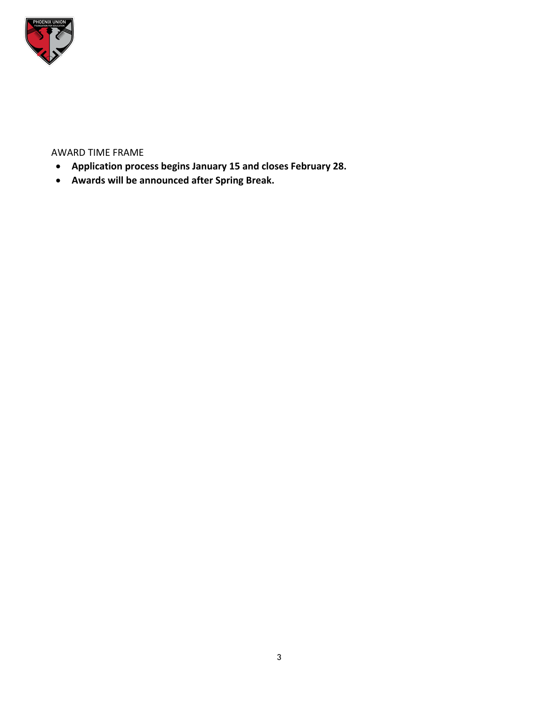

#### AWARD TIME FRAME

- **Application process begins January 15 and closes February 28.**
- **Awards will be announced after Spring Break.**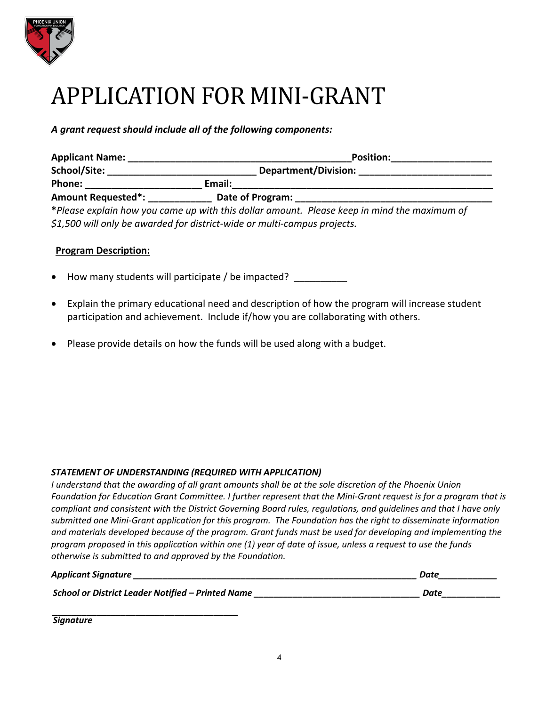

# APPLICATION FOR MINI-GRANT

*A grant request should include all of the following components:*

| <b>Applicant Name:</b>                                                   | <b>Position:</b><br>Department/Division: |                                                                                             |
|--------------------------------------------------------------------------|------------------------------------------|---------------------------------------------------------------------------------------------|
| School/Site:                                                             |                                          |                                                                                             |
| <b>Phone:</b>                                                            | Email:                                   |                                                                                             |
| <b>Amount Requested*:</b>                                                |                                          | Date of Program:                                                                            |
|                                                                          |                                          | *Please explain how you came up with this dollar amount. Please keep in mind the maximum of |
| \$1,500 will only be awarded for district-wide or multi-campus projects. |                                          |                                                                                             |

#### **Program Description:**

• How many students will participate / be impacted?

- Explain the primary educational need and description of how the program will increase student participation and achievement. Include if/how you are collaborating with others.
- Please provide details on how the funds will be used along with a budget.

#### *STATEMENT OF UNDERSTANDING (REQUIRED WITH APPLICATION)*

*I understand that the awarding of all grant amounts shall be at the sole discretion of the Phoenix Union Foundation for Education Grant Committee. I further represent that the Mini-Grant request is for a program that is compliant and consistent with the District Governing Board rules, regulations, and guidelines and that I have only submitted one Mini-Grant application for this program. The Foundation has the right to disseminate information and materials developed because of the program. Grant funds must be used for developing and implementing the program proposed in this application within one (1) year of date of issue, unless a request to use the funds otherwise is submitted to and approved by the Foundation.*

| <b>Applicant Signature</b>                        | Date |
|---------------------------------------------------|------|
| School or District Leader Notified - Printed Name | Date |

*\_\_\_\_\_\_\_\_\_\_\_\_\_\_\_\_\_\_\_\_\_\_\_\_\_\_\_\_\_\_\_\_\_\_\_\_\_\_ Signature*